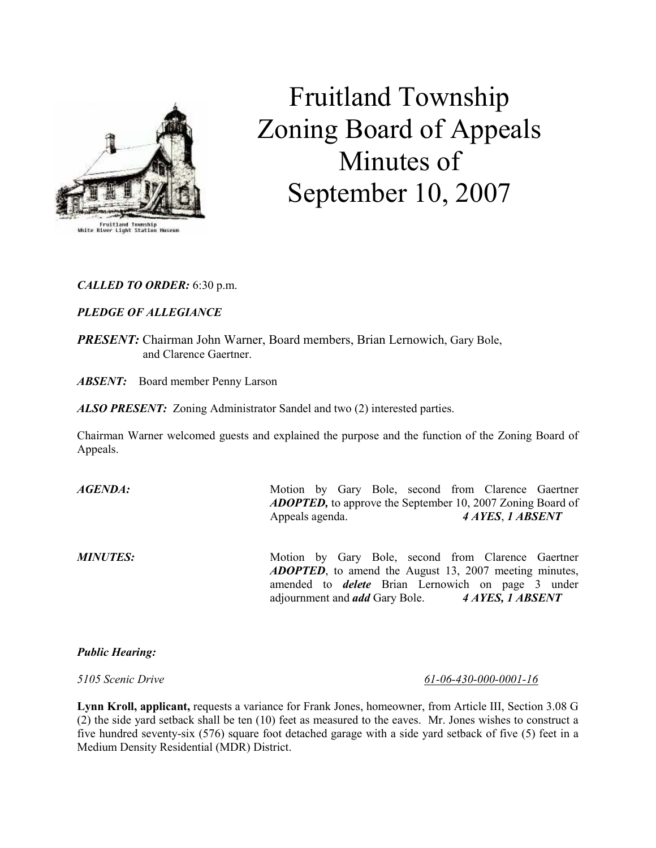

# Fruitland Township Zoning Board of Appeals Minutes of September 10, 2007

# CALLED TO ORDER: 6:30 p.m.

# PLEDGE OF ALLEGIANCE

PRESENT: Chairman John Warner, Board members, Brian Lernowich, Gary Bole, and Clarence Gaertner.

**ABSENT:** Board member Penny Larson

ALSO PRESENT: Zoning Administrator Sandel and two (2) interested parties.

Chairman Warner welcomed guests and explained the purpose and the function of the Zoning Board of Appeals.

| AGENDA:         | Motion by Gary Bole, second from Clarence Gaertner<br><b>ADOPTED</b> , to approve the September 10, 2007 Zoning Board of<br>Appeals agenda.                                                                                                | 4 AYES, 1 ABSENT |
|-----------------|--------------------------------------------------------------------------------------------------------------------------------------------------------------------------------------------------------------------------------------------|------------------|
| <b>MINUTES:</b> | Motion by Gary Bole, second from Clarence Gaertner<br><b>ADOPTED</b> , to amend the August 13, 2007 meeting minutes,<br>amended to <i>delete</i> Brian Lernowich on page 3 under<br>adjournment and <i>add</i> Gary Bole. 4 AYES, 1 ABSENT |                  |

#### Public Hearing:

5105 Scenic Drive 61-06-430-000-0001-16

Lynn Kroll, applicant, requests a variance for Frank Jones, homeowner, from Article III, Section 3.08 G (2) the side yard setback shall be ten (10) feet as measured to the eaves. Mr. Jones wishes to construct a five hundred seventy-six (576) square foot detached garage with a side yard setback of five (5) feet in a Medium Density Residential (MDR) District.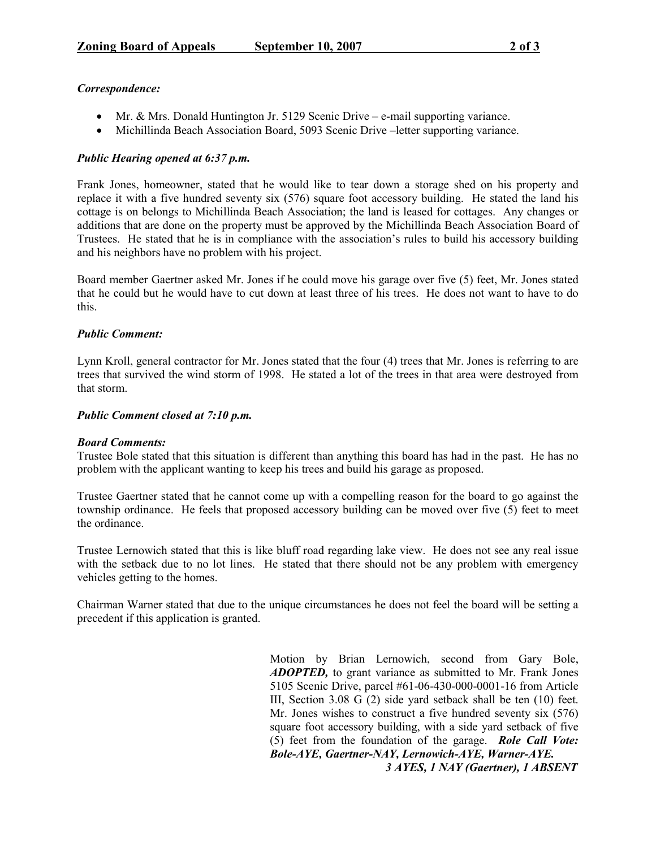#### Correspondence:

- Mr. & Mrs. Donald Huntington Jr. 5129 Scenic Drive e-mail supporting variance.
- Michillinda Beach Association Board, 5093 Scenic Drive –letter supporting variance.

### Public Hearing opened at 6:37 p.m.

Frank Jones, homeowner, stated that he would like to tear down a storage shed on his property and replace it with a five hundred seventy six (576) square foot accessory building. He stated the land his cottage is on belongs to Michillinda Beach Association; the land is leased for cottages. Any changes or additions that are done on the property must be approved by the Michillinda Beach Association Board of Trustees. He stated that he is in compliance with the association's rules to build his accessory building and his neighbors have no problem with his project.

Board member Gaertner asked Mr. Jones if he could move his garage over five (5) feet, Mr. Jones stated that he could but he would have to cut down at least three of his trees. He does not want to have to do this.

#### Public Comment:

Lynn Kroll, general contractor for Mr. Jones stated that the four (4) trees that Mr. Jones is referring to are trees that survived the wind storm of 1998. He stated a lot of the trees in that area were destroyed from that storm.

#### Public Comment closed at 7:10 p.m.

#### Board Comments:

Trustee Bole stated that this situation is different than anything this board has had in the past. He has no problem with the applicant wanting to keep his trees and build his garage as proposed.

Trustee Gaertner stated that he cannot come up with a compelling reason for the board to go against the township ordinance. He feels that proposed accessory building can be moved over five (5) feet to meet the ordinance.

Trustee Lernowich stated that this is like bluff road regarding lake view. He does not see any real issue with the setback due to no lot lines. He stated that there should not be any problem with emergency vehicles getting to the homes.

Chairman Warner stated that due to the unique circumstances he does not feel the board will be setting a precedent if this application is granted.

> Motion by Brian Lernowich, second from Gary Bole, ADOPTED, to grant variance as submitted to Mr. Frank Jones 5105 Scenic Drive, parcel #61-06-430-000-0001-16 from Article III, Section 3.08 G (2) side yard setback shall be ten (10) feet. Mr. Jones wishes to construct a five hundred seventy six (576) square foot accessory building, with a side yard setback of five (5) feet from the foundation of the garage. Role Call Vote: Bole-AYE, Gaertner-NAY, Lernowich-AYE, Warner-AYE. 3 AYES, 1 NAY (Gaertner), 1 ABSENT